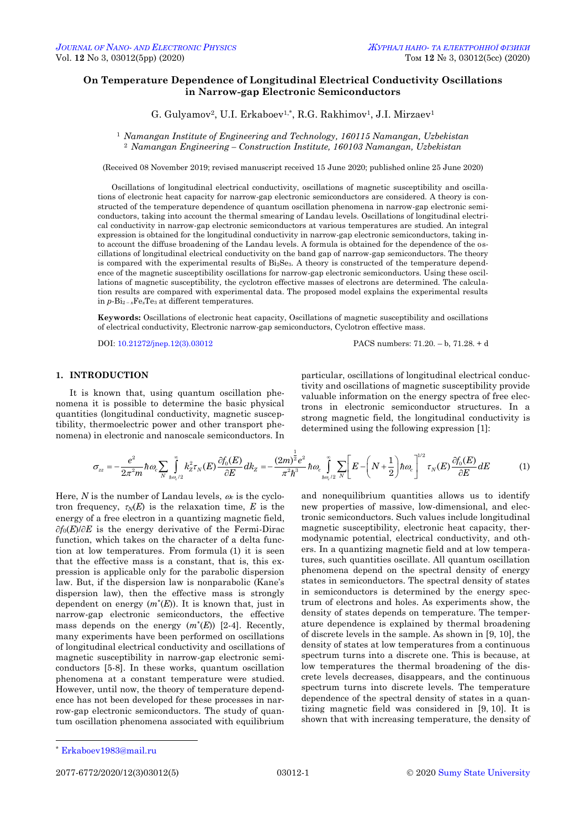# **On Temperature Dependence of Longitudinal Electrical Conductivity Oscillations in Narrow-gap Electronic Semiconductors**

G. Gulyamov<sup>2</sup>, U.I. Erkaboev<sup>1,\*</sup>, R.G. Rakhimov<sup>1</sup>, J.I. Mirzaev<sup>1</sup>

<sup>1</sup> *Namangan Institute of Engineering and Technology, 160115 Namangan, Uzbekistan* <sup>2</sup> *Namangan Engineering – Construction Institute, 160103 Namangan, Uzbekistan*

(Received 08 November 2019; revised manuscript received 15 June 2020; published online 25 June 2020)

Oscillations of longitudinal electrical conductivity, oscillations of magnetic susceptibility and oscillations of electronic heat capacity for narrow-gap electronic semiconductors are considered. A theory is constructed of the temperature dependence of quantum oscillation phenomena in narrow-gap electronic semiconductors, taking into account the thermal smearing of Landau levels. Oscillations of longitudinal electrical conductivity in narrow-gap electronic semiconductors at various temperatures are studied. An integral expression is obtained for the longitudinal conductivity in narrow-gap electronic semiconductors, taking into account the diffuse broadening of the Landau levels. A formula is obtained for the dependence of the oscillations of longitudinal electrical conductivity on the band gap of narrow-gap semiconductors. The theory is compared with the experimental results of  $Bi<sub>2</sub>Se<sub>3</sub>$ . A theory is constructed of the temperature dependence of the magnetic susceptibility oscillations for narrow-gap electronic semiconductors. Using these oscillations of magnetic susceptibility, the cyclotron effective masses of electrons are determined. The calculation results are compared with experimental data. The proposed model explains the experimental results in  $p$ -Bi<sub>2-x</sub>Fe<sub>x</sub>Te<sub>3</sub> at different temperatures.

**Keywords:** Oscillations of electronic heat capacity, Oscillations of magnetic susceptibility and oscillations of electrical conductivity, Electronic narrow-gap semiconductors, Cyclotron effective mass.

DOI[: 10.21272/jnep.12\(3\).03012](https://doi.org/10.21272/jnep.12(3).03012) PACS numbers: 71.20. – b, 71.28. + d

### **1. INTRODUCTION**

It is known that, using quantum oscillation phenomena it is possible to determine the basic physical quantities (longitudinal conductivity, magnetic susceptibility, thermoelectric power and other transport phenomena) in electronic and nanoscale semiconductors. In particular, oscillations of longitudinal electrical conductivity and oscillations of magnetic susceptibility provide valuable information on the energy spectra of free electrons in electronic semiconductor structures. In a strong magnetic field, the longitudinal conductivity is determined using the following expression [1]:

$$
\sigma_{zz} = -\frac{e^2}{2\pi^2 m} \hbar \omega_c \sum_{N} \int_{h\omega_c/2}^{\infty} k_z^2 \tau_N(E) \frac{\partial f_0(E)}{\partial E} dk_z = -\frac{(2m)^{\frac{1}{2}}e^2}{\pi^2 \hbar^3} \hbar \omega_c \int_{h\omega_c/2}^{\infty} \sum_{N}^{\infty} \left[ E - \left( N + \frac{1}{2} \right) \hbar \omega_c \right]^{1/2} \tau_N(E) \frac{\partial f_0(E)}{\partial E} dE \tag{1}
$$

Here,  $N$  is the number of Landau levels,  $\omega_c$  is the cyclotron frequency,  $\tau_N(E)$  is the relaxation time, *E* is the energy of a free electron in a quantizing magnetic field,  $\partial f_0(E)/\partial E$  is the energy derivative of the Fermi-Dirac function, which takes on the character of a delta function at low temperatures. From formula (1) it is seen that the effective mass is a constant, that is, this expression is applicable only for the parabolic dispersion law. But, if the dispersion law is nonparabolic (Kane's dispersion law), then the effective mass is strongly dependent on energy  $(m^*(E))$ . It is known that, just in narrow-gap electronic semiconductors, the effective mass depends on the energy  $(m^*(E))$  [2-4]. Recently, many experiments have been performed on oscillations of longitudinal electrical conductivity and oscillations of magnetic susceptibility in narrow-gap electronic semiconductors [5-8]. In these works, quantum oscillation phenomena at a constant temperature were studied. However, until now, the theory of temperature dependence has not been developed for these processes in narrow-gap electronic semiconductors. The study of quantum oscillation phenomena associated with equilibrium

and nonequilibrium quantities allows us to identify new properties of massive, low-dimensional, and electronic semiconductors. Such values include longitudinal magnetic susceptibility, electronic heat capacity, thermodynamic potential, electrical conductivity, and others. In a quantizing magnetic field and at low temperatures, such quantities oscillate. All quantum oscillation phenomena depend on the spectral density of energy states in semiconductors. The spectral density of states in semiconductors is determined by the energy spectrum of electrons and holes. As experiments show, the density of states depends on temperature. The temperature dependence is explained by thermal broadening of discrete levels in the sample. As shown in [9, 10], the density of states at low temperatures from a continuous spectrum turns into a discrete one. This is because, at low temperatures the thermal broadening of the discrete levels decreases, disappears, and the continuous spectrum turns into discrete levels. The temperature dependence of the spectral density of states in a quantizing magnetic field was considered in [9, 10]. It is shown that with increasing temperature, the density of

-

<span id="page-0-3"></span><span id="page-0-2"></span><span id="page-0-1"></span><span id="page-0-0"></span>2077-6772/2020/12(3)03012(5) [03012-](#page-0-2)1 [2020](#page-0-3) [Sumy State University](http://sumdu.edu.ua/)

<sup>\*</sup> [Erkaboev1983@mail.ru](mailto:Erkaboev1983@mail.ru)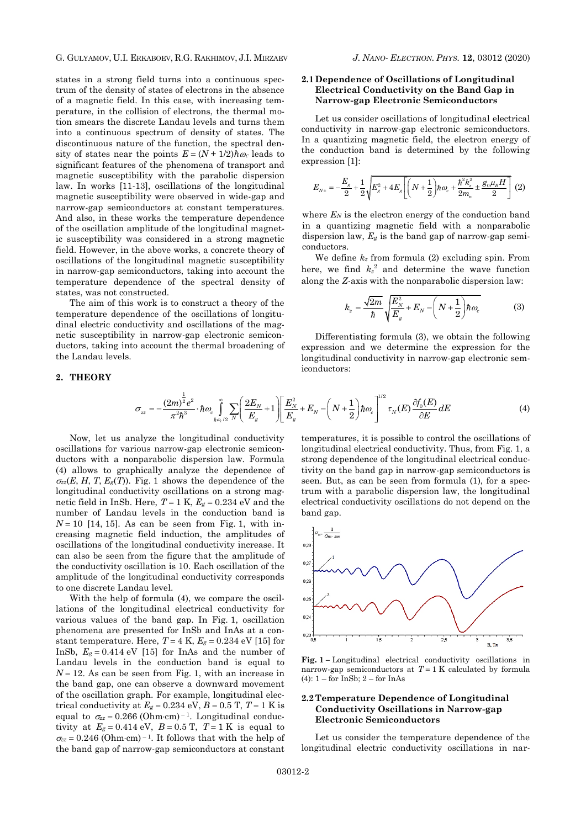states in a strong field turns into a continuous spectrum of the density of states of electrons in the absence of a magnetic field. In this case, with increasing temperature, in the collision of electrons, the thermal motion smears the discrete Landau levels and turns them into a continuous spectrum of density of states. The discontinuous nature of the function, the spectral density of states near the points  $E = (N + 1/2)\hbar\omega_c$  leads to significant features of the phenomena of transport and magnetic susceptibility with the parabolic dispersion law. In works [11-13], oscillations of the longitudinal magnetic susceptibility were observed in wide-gap and narrow-gap semiconductors at constant temperatures. And also, in these works the temperature dependence of the oscillation amplitude of the longitudinal magnetic susceptibility was considered in a strong magnetic field. However, in the above works, a concrete theory of oscillations of the longitudinal magnetic susceptibility in narrow-gap semiconductors, taking into account the temperature dependence of the spectral density of states, was not constructed.

The aim of this work is to construct a theory of the temperature dependence of the oscillations of longitudinal electric conductivity and oscillations of the magnetic susceptibility in narrow-gap electronic semiconductors, taking into account the thermal broadening of the Landau levels.

### **2. THEORY**

### **2.1 Dependence of Oscillations of Longitudinal Electrical Conductivity on the Band Gap in Narrow-gap Electronic Semiconductors**

Let us consider oscillations of longitudinal electrical conductivity in narrow-gap electronic semiconductors. In a quantizing magnetic field, the electron energy of the conduction band is determined by the following expression [1]:

$$
E_{N\pm} = -\frac{E_g}{2} + \frac{1}{2} \sqrt{E_g^2 + 4E_g \left[ \left( N + \frac{1}{2} \right) \hbar \omega_c + \frac{\hbar^2 k_z^2}{2m_n} \pm \frac{g_0 \mu_B H}{2} \right]} \tag{2}
$$

where  $E_N$  is the electron energy of the conduction band in a quantizing magnetic field with a nonparabolic dispersion law, *E<sup>g</sup>* is the band gap of narrow-gap semiconductors.

We define *k<sup>z</sup>* from formula (2) excluding spin. From here, we find  $k_z^2$  and determine the wave function along the *Z*-axis with the nonparabolic dispersion law:

$$
k_z = \frac{\sqrt{2m}}{\hbar} \sqrt{\frac{E_N^2}{E_g} + E_N - \left(N + \frac{1}{2}\right) \hbar \omega_c}
$$
 (3)

Differentiating formula (3), we obtain the following expression and we determine the expression for the longitudinal conductivity in narrow-gap electronic semiconductors:

$$
\sigma_{zz} = -\frac{(2m)^{\frac{1}{2}}e^2}{\pi^2\hbar^3} \cdot \hbar \omega_c \int_{\hbar \omega_c/2}^{\infty} \sum_{N} \left( \frac{2E_N}{E_g} + 1 \right) \left[ \frac{E_N^2}{E_g} + E_N - \left( N + \frac{1}{2} \right) \hbar \omega_c \right]^{1/2} \tau_N(E) \frac{\partial f_0(E)}{\partial E} dE \tag{4}
$$

Now, let us analyze the longitudinal conductivity oscillations for various narrow-gap electronic semiconductors with a nonparabolic dispersion law. Formula (4) allows to graphically analyze the dependence of  $\sigma_{zz}(E, H, T, E_{\rm g}(T))$ . Fig. 1 shows the dependence of the longitudinal conductivity oscillations on a strong magnetic field in InSb. Here,  $T = 1$  K,  $E_g = 0.234$  eV and the number of Landau levels in the conduction band is  $N = 10$  [14, 15]. As can be seen from Fig. 1, with increasing magnetic field induction, the amplitudes of oscillations of the longitudinal conductivity increase. It can also be seen from the figure that the amplitude of the conductivity oscillation is 10. Each oscillation of the amplitude of the longitudinal conductivity corresponds to one discrete Landau level.

With the help of formula (4), we compare the oscillations of the longitudinal electrical conductivity for various values of the band gap. In Fig. 1, oscillation phenomena are presented for InSb and InAs at a constant temperature. Here,  $T = 4$  K,  $E_g = 0.234$  eV [15] for InSb,  $E_g = 0.414$  eV [15] for InAs and the number of Landau levels in the conduction band is equal to  $N = 12$ . As can be seen from Fig. 1, with an increase in the band gap, one can observe a downward movement of the oscillation graph. For example, longitudinal electrical conductivity at  $E_g = 0.234 \text{ eV}$ ,  $B = 0.5 \text{ T}$ ,  $T = 1 \text{ K}$  is equal to  $\sigma_{zz} = 0.266$  (Ohm·cm)<sup>-1</sup>. Longitudinal conductivity at  $E_g = 0.414 \text{ eV}$ ,  $B = 0.5 \text{ T}$ ,  $T = 1 \text{ K}$  is equal to  $\sigma_{zz} = 0.246$  (Ohm·cm)<sup>-1</sup>. It follows that with the help of the band gap of narrow-gap semiconductors at constant

temperatures, it is possible to control the oscillations of longitudinal electrical conductivity. Thus, from Fig. 1, a strong dependence of the longitudinal electrical conductivity on the band gap in narrow-gap semiconductors is seen. But, as can be seen from formula (1), for a spectrum with a parabolic dispersion law, the longitudinal electrical conductivity oscillations do not depend on the band gap.



**Fig. 1 –** Longitudinal electrical conductivity oscillations in narrow-gap semiconductors at  $T = 1$  K calculated by formula (4):  $1 -$  for InSb;  $2 -$  for InAs

### **2.2 Temperature Dependence of Longitudinal Conductivity Oscillations in Narrow-gap Electronic Semiconductors**

Let us consider the temperature dependence of the longitudinal electric conductivity oscillations in nar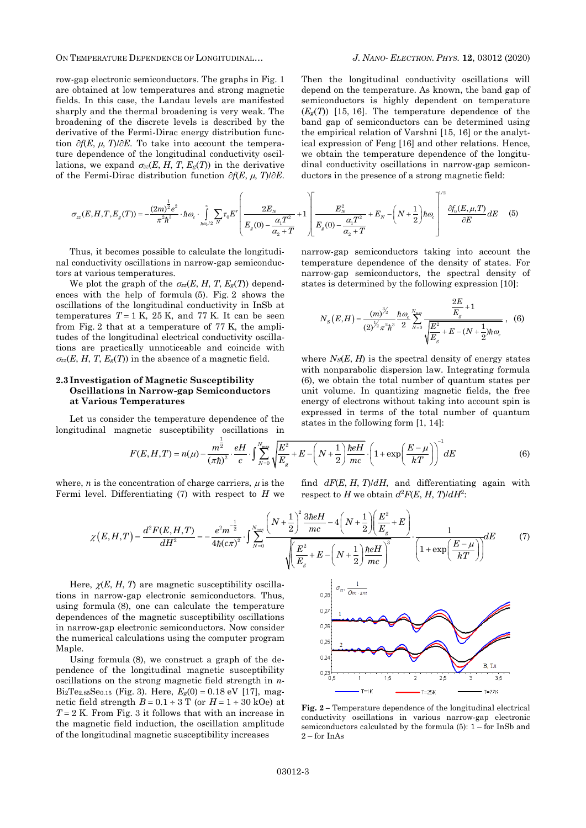ON TEMPERATURE DEPENDENCE OF LONGITUDINAL… *J. NANO- ELECTRON. PHYS.* **[12](#page-0-2)**, [03012](#page-0-2) [\(2020\)](#page-0-2)

row-gap electronic semiconductors. The graphs in Fig. 1 are obtained at low temperatures and strong magnetic fields. In this case, the Landau levels are manifested sharply and the thermal broadening is very weak. The broadening of the discrete levels is described by the derivative of the Fermi-Dirac energy distribution function  $\partial f(E, \mu, T)/\partial E$ . To take into account the temperature dependence of the longitudinal conductivity oscillations, we expand  $\sigma_{zz}(E, H, T, E_g(T))$  in the derivative of the Fermi-Dirac distribution function  $\partial f(E, \mu, T)/\partial E$ .

Then the longitudinal conductivity oscillations will depend on the temperature. As known, the band gap of semiconductors is highly dependent on temperature  $(E_g(T))$  [15, 16]. The temperature dependence of the band gap of semiconductors can be determined using the empirical relation of Varshni [15, 16] or the analytical expression of Feng [16] and other relations. Hence, we obtain the temperature dependence of the longitu-

ions, we expand 
$$
\sigma_{zz}(E, H, T, E_g(T))
$$
 in the derivative  
the Fermi-Dirac distribution function  $\partial f(E, \mu, T)/\partial E$ . ductors in the presence of a strong magnetic field:  

$$
\sigma_{zz}(E, H, T, E_g(T)) = -\frac{(2m)^{\frac{1}{2}}e^2}{\pi^2\hbar^3} \cdot \hbar \omega_c \cdot \int_{\hbar \omega_c/2}^{\infty} \sum_{N} \tau_0 E^r \left( \frac{2E_N}{E_g(0) - \frac{\alpha_1 T^2}{\alpha_2 + T}} + 1 \right) \left[ \frac{E_N^2}{E_g(0) - \frac{\alpha_1 T^2}{\alpha_2 + T}} + E_N - \left( N + \frac{1}{2} \right) \hbar \omega_c \right] \frac{\partial f_0(E, \mu, T)}{\partial E} dE
$$
(5)

Thus, it becomes possible to calculate the longitudinal conductivity oscillations in narrow-gap semiconductors at various temperatures.

We plot the graph of the  $\sigma_{zz}(E, H, T, E_g(T))$  dependences with the help of formula (5). Fig. 2 shows the oscillations of the longitudinal conductivity in InSb at temperatures  $T = 1$  K, 25 K, and 77 K. It can be seen from Fig. 2 that at a temperature of 77 K, the amplitudes of the longitudinal electrical conductivity oscillations are practically unnoticeable and coincide with  $\sigma_{zz}(E, H, T, E_g(T))$  in the absence of a magnetic field.

# **2.3 Investigation of Magnetic Susceptibility Oscillations in Narrow-gap Semiconductors at Various Temperatures**

Let us consider the temperature dependence of the

narrow-gap semiconductors taking into account the temperature dependence of the density of states. For narrow-gap semiconductors, the spectral density of

states is determined by the following expression [10]:

$$
N_{S}(E,H) = \frac{(m)^{\frac{3}{2}}}{(2)^{\frac{1}{2}}\pi^2\hbar^3} \frac{\hbar\omega_c}{2} \sum_{N=0}^{N_{\text{max}}} \frac{\frac{2E}{E_s} + 1}{\sqrt{\frac{E^2}{E_s} + E - (N + \frac{1}{2})\hbar\omega_c}} , \quad (6)
$$

where  $N_S(E, H)$  is the spectral density of energy states with nonparabolic dispersion law. Integrating formula (6), we obtain the total number of quantum states per unit volume. In quantizing magnetic fields, the free energy of electrons without taking into account spin is expressed in terms of the total number of quantum

Let us consider the temperature dependence of the  
longitudinal magnetic susceptibility oscillations in  

$$
F(E, H, T) = n(\mu) - \frac{m^{\frac{1}{2}}}{(\pi \hbar)^2} \cdot \frac{eH}{c} \cdot \int_{N=0}^{N_{\text{max}}} \sqrt{\frac{E^2}{E_g} + E - \left(N + \frac{1}{2}\right) \frac{\hbar eH}{mc}} \cdot \left(1 + \exp\left(\frac{E - \mu}{kT}\right)\right)^{-1} dE
$$
(6)

where,  $n$  is the concentration of charge carriers,  $\mu$  is the Fermi level. Differentiating (7) with respect to *H* we find *dF*(*E*, *H*, *T*)/*dH*, and differentiating again with respect to *H* we obtain  $d^2F(E, H, T)/dH^2$ :

*n* is the concentration of charge carriers, 
$$
\mu
$$
 is the  
level. Differentiating (7) with respect to *H* we expect to *H* we obtain  $d^2F(E, H, T)/dH^2$ :  

$$
\chi(E, H, T) = \frac{d^2F(E, H, T)}{dH^2} = -\frac{e^2m^{-\frac{1}{2}}}{4\hbar(c\pi)^2} \cdot \int_{N=0}^{N_{\text{max}}} \frac{\left(N + \frac{1}{2}\right)^2 \frac{3\hbar eH}{mc} - 4\left(N + \frac{1}{2}\right) \left(\frac{E^2}{E_g} + E\right)}{\sqrt{\left(\frac{E^2}{E_g} + E - \left(N + \frac{1}{2}\right)\frac{\hbar eH}{mc}\right)^3}} \cdot \frac{1}{\left(1 + \exp\left(\frac{E - \mu}{kT}\right)\right)} dE
$$
(7)

Here,  $\chi(E, H, T)$  are magnetic susceptibility oscillations in narrow-gap electronic semiconductors. Thus, using formula (8), one can calculate the temperature dependences of the magnetic susceptibility oscillations in narrow-gap electronic semiconductors. Now consider the numerical calculations using the computer program Maple.

Using formula (8), we construct a graph of the dependence of the longitudinal magnetic susceptibility oscillations on the strong magnetic field strength in *n*- $Bi_2Te_{2.85}Se_{0.15}$  (Fig. 3). Here,  $E_g(0) = 0.18 \text{ eV}$  [17], magnetic field strength  $B = 0.1 \div 3$  T (or  $H = 1 \div 30$  kOe) at  $T = 2$  K. From Fig. 3 it follows that with an increase in the magnetic field induction, the oscillation amplitude of the longitudinal magnetic susceptibility increases



**Fig. 2 –** Temperature dependence of the longitudinal electrical conductivity oscillations in various narrow-gap electronic semiconductors calculated by the formula (5):  $1 -$  for InSb and 2 – for InAs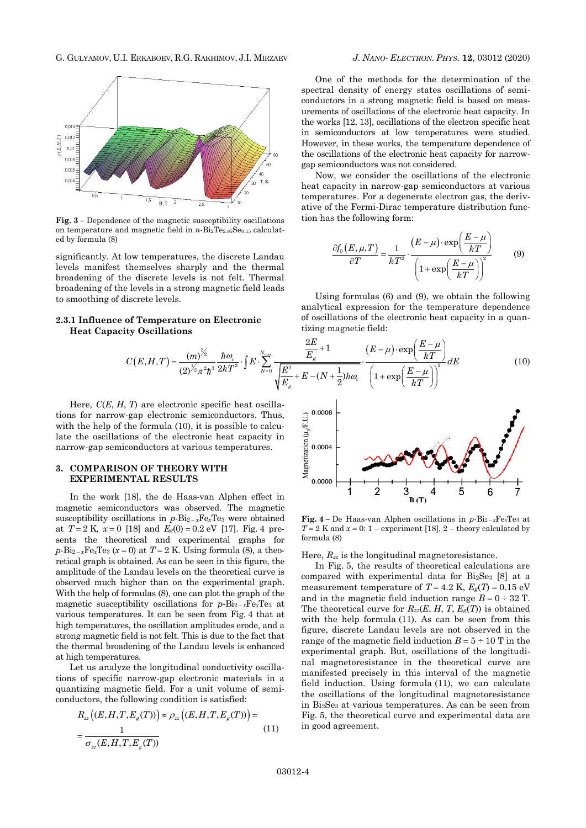

**Fig. 3 –** Dependence of the magnetic susceptibility oscillations on temperature and magnetic field in *n*-Bi<sub>2</sub>Te<sub>2.85</sub>Se<sub>0.15</sub> calculated by formula (8)

significantly. At low temperatures, the discrete Landau levels manifest themselves sharply and the thermal broadening of the discrete levels is not felt. Thermal broadening of the levels in a strong magnetic field leads to smoothing of discrete levels.

# **2.3.1 Influence of Temperature on Electronic**

One of the methods for the determination of the spectral density of energy states oscillations of semiconductors in a strong magnetic field is based on measurements of oscillations of the electronic heat capacity. In the works [12, 13], oscillations of the electron specific heat in semiconductors at low temperatures were studied. However, in these works, the temperature dependence of the oscillations of the electronic heat capacity for narrowgap semiconductors was not considered.

Now, we consider the oscillations of the electronic heat capacity in narrow-gap semiconductors at various temperatures. For a degenerate electron gas, the derivative of the Fermi-Dirac temperature distribution function has the following form:

$$
\frac{\partial f_0(E,\mu,T)}{\partial T} = \frac{1}{kT^2} \cdot \frac{(E-\mu) \cdot \exp\left(\frac{E-\mu}{kT}\right)}{\left(1 + \exp\left(\frac{E-\mu}{kT}\right)\right)^2}
$$
(9)

Using formulas (6) and (9), we obtain the following analytical expression for the temperature dependence tizing magnetic field:

1 **Influence of Temperature on Electronic**  
\n**Heat Capacity Oscillations**  
\n
$$
C(E, H, T) = \frac{(m)^{\frac{3}{2}}}{(2)^{\frac{1}{2}}\pi^2\hbar^3} \frac{\hbar \omega_c}{2kT^2} \cdot \int E \cdot \sum_{N=0}^{N_{\text{max}}} \frac{\frac{2E}{E_g} + 1}{\sqrt{\frac{E^2}{E_g} + E - (N + \frac{1}{2})\hbar \omega_c}} \cdot \frac{(E - \mu) \cdot \exp\left(\frac{E - \mu}{kT}\right)}{\left(1 + \exp\left(\frac{E - \mu}{kT}\right)\right)^2} dE
$$
\n(10)

 $\Omega$ 

Here, *C*(*E*, *H*, *T*) are electronic specific heat oscillations for narrow-gap electronic semiconductors. Thus, with the help of the formula (10), it is possible to calculate the oscillations of the electronic heat capacity in narrow-gap semiconductors at various temperatures.

### **3. COMPARISON OF THEORY WITH EXPERIMENTAL RESULTS**

In the work [18], the de Haas-van Alphen effect in magnetic semiconductors was observed. The magnetic susceptibility oscillations in  $p$ -Bi<sub>2-x</sub>Fe<sub>x</sub>Te<sub>3</sub> were obtained at  $T = 2$  K,  $x = 0$  [18] and  $E_g(0) = 0.2$  eV [17]. Fig. 4 presents the theoretical and experimental graphs for  $p\text{-}Bi_{2-x}Fe_xTe_3$  ( $x=0$ ) at  $T=2$  K. Using formula (8), a theoretical graph is obtained. As can be seen in this figure, the amplitude of the Landau levels on the theoretical curve is observed much higher than on the experimental graph. With the help of formulas (8), one can plot the graph of the magnetic susceptibility oscillations for  $p$ -Bi<sub>2-x</sub>Fe<sub>x</sub>Te<sub>3</sub> at various temperatures. It can be seen from Fig. 4 that at high temperatures, the oscillation amplitudes erode, and a strong magnetic field is not felt. This is due to the fact that the thermal broadening of the Landau levels is enhanced at high temperatures.

Let us analyze the longitudinal conductivity oscillations of specific narrow-gap electronic materials in a quantizing magnetic field. For a unit volume of semi-

conductors, the following condition is satisfied:  
\n
$$
R_{zz}((E, H, T, E_g(T))) \approx \rho_{zz}((E, H, T, E_g(T))) = \frac{1}{\sigma_{zz}(E, H, T, E_g(T))}
$$
\n(11)



**Fig.** 4 – De Haas-van Alphen oscillations in  $p$ -Bi<sub>2-x</sub>Fe<sub>x</sub>Te<sub>3</sub> at  $T = 2$  K and  $x = 0$ : 1 – experiment [18], 2 – theory calculated by formula (8)

Here, *Rzz* is the longitudinal magnetoresistance.

In Fig. 5, the results of theoretical calculations are compared with experimental data for Bi2Se<sup>3</sup> [8] at a measurement temperature of  $T = 4.2$  K,  $E_g(T) = 0.15$  eV and in the magnetic field induction range  $B = 0 \div 32$  T. The theoretical curve for  $R_{zz}(E, H, T, E_g(T))$  is obtained with the help formula (11). As can be seen from this figure, discrete Landau levels are not observed in the range of the magnetic field induction  $B = 5 \div 10$  T in the experimental graph. But, oscillations of the longitudinal magnetoresistance in the theoretical curve are manifested precisely in this interval of the magnetic field induction. Using formula (11), we can calculate the oscillations of the longitudinal magnetoresistance in Bi2Se<sup>3</sup> at various temperatures. As can be seen from Fig. 5, the theoretical curve and experimental data are in good agreement.